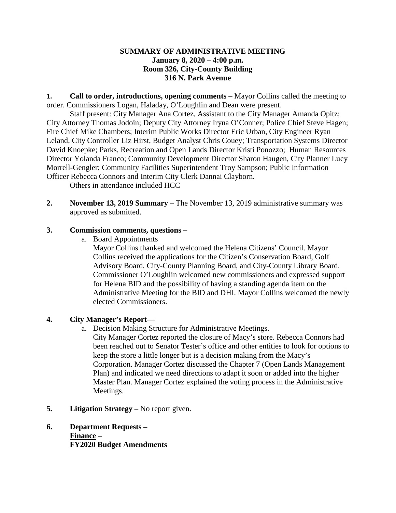# **SUMMARY OF ADMINISTRATIVE MEETING January 8, 2020 – 4:00 p.m. Room 326, City-County Building 316 N. Park Avenue**

**1. Call to order, introductions, opening comments** – Mayor Collins called the meeting to order. Commissioners Logan, Haladay, O'Loughlin and Dean were present.

Staff present: City Manager Ana Cortez, Assistant to the City Manager Amanda Opitz; City Attorney Thomas Jodoin; Deputy City Attorney Iryna O'Conner; Police Chief Steve Hagen; Fire Chief Mike Chambers; Interim Public Works Director Eric Urban, City Engineer Ryan Leland, City Controller Liz Hirst, Budget Analyst Chris Couey; Transportation Systems Director David Knoepke; Parks, Recreation and Open Lands Director Kristi Ponozzo; Human Resources Director Yolanda Franco; Community Development Director Sharon Haugen, City Planner Lucy Morrell-Gengler; Community Facilities Superintendent Troy Sampson; Public Information Officer Rebecca Connors and Interim City Clerk Dannai Clayborn.

Others in attendance included HCC

**2. November 13, 2019 Summary** – The November 13, 2019 administrative summary was approved as submitted.

# **3. Commission comments, questions –**

a. Board Appointments

Mayor Collins thanked and welcomed the Helena Citizens' Council. Mayor Collins received the applications for the Citizen's Conservation Board, Golf Advisory Board, City-County Planning Board, and City-County Library Board. Commissioner O'Loughlin welcomed new commissioners and expressed support for Helena BID and the possibility of having a standing agenda item on the Administrative Meeting for the BID and DHI. Mayor Collins welcomed the newly elected Commissioners.

# **4. City Manager's Report—**

a. Decision Making Structure for Administrative Meetings.

City Manager Cortez reported the closure of Macy's store. Rebecca Connors had been reached out to Senator Tester's office and other entities to look for options to keep the store a little longer but is a decision making from the Macy's Corporation. Manager Cortez discussed the Chapter 7 (Open Lands Management Plan) and indicated we need directions to adapt it soon or added into the higher Master Plan. Manager Cortez explained the voting process in the Administrative Meetings.

- **5. Litigation Strategy –** No report given.
- **6. Department Requests – Finance – FY2020 Budget Amendments**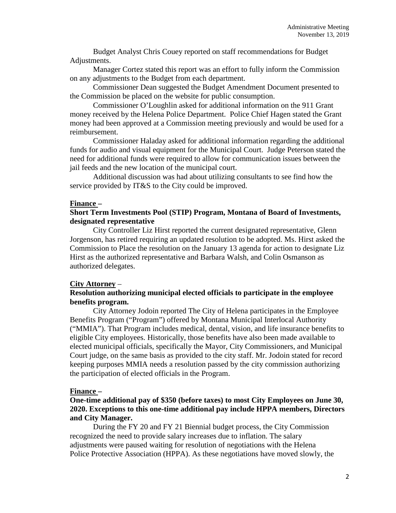Budget Analyst Chris Couey reported on staff recommendations for Budget Adjustments.

Manager Cortez stated this report was an effort to fully inform the Commission on any adjustments to the Budget from each department.

Commissioner Dean suggested the Budget Amendment Document presented to the Commission be placed on the website for public consumption.

Commissioner O'Loughlin asked for additional information on the 911 Grant money received by the Helena Police Department. Police Chief Hagen stated the Grant money had been approved at a Commission meeting previously and would be used for a reimbursement.

Commissioner Haladay asked for additional information regarding the additional funds for audio and visual equipment for the Municipal Court. Judge Peterson stated the need for additional funds were required to allow for communication issues between the jail feeds and the new location of the municipal court.

Additional discussion was had about utilizing consultants to see find how the service provided by IT&S to the City could be improved.

## **Finance –**

## **Short Term Investments Pool (STIP) Program, Montana of Board of Investments, designated representative**

City Controller Liz Hirst reported the current designated representative, Glenn Jorgenson, has retired requiring an updated resolution to be adopted. Ms. Hirst asked the Commission to Place the resolution on the January 13 agenda for action to designate Liz Hirst as the authorized representative and Barbara Walsh, and Colin Osmanson as authorized delegates.

## **City Attorney** –

# **Resolution authorizing municipal elected officials to participate in the employee benefits program.**

City Attorney Jodoin reported The City of Helena participates in the Employee Benefits Program ("Program") offered by Montana Municipal Interlocal Authority ("MMIA"). That Program includes medical, dental, vision, and life insurance benefits to eligible City employees. Historically, those benefits have also been made available to elected municipal officials, specifically the Mayor, City Commissioners, and Municipal Court judge, on the same basis as provided to the city staff. Mr. Jodoin stated for record keeping purposes MMIA needs a resolution passed by the city commission authorizing the participation of elected officials in the Program.

## **Finance –**

# **One-time additional pay of \$350 (before taxes) to most City Employees on June 30, 2020. Exceptions to this one-time additional pay include HPPA members, Directors and City Manager.**

During the FY 20 and FY 21 Biennial budget process, the City Commission recognized the need to provide salary increases due to inflation. The salary adjustments were paused waiting for resolution of negotiations with the Helena Police Protective Association (HPPA). As these negotiations have moved slowly, the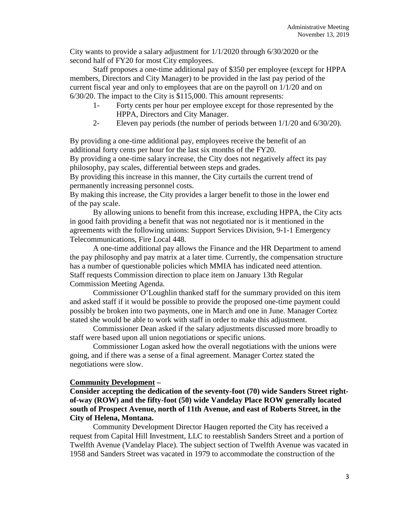City wants to provide a salary adjustment for 1/1/2020 through 6/30/2020 or the second half of FY20 for most City employees.

Staff proposes a one-time additional pay of \$350 per employee (except for HPPA members, Directors and City Manager) to be provided in the last pay period of the current fiscal year and only to employees that are on the payroll on 1/1/20 and on 6/30/20. The impact to the City is \$115,000. This amount represents:

- 1- Forty cents per hour per employee except for those represented by the HPPA, Directors and City Manager.
- 2- Eleven pay periods (the number of periods between 1/1/20 and 6/30/20).

By providing a one-time additional pay, employees receive the benefit of an additional forty cents per hour for the last six months of the FY20.

By providing a one-time salary increase, the City does not negatively affect its pay philosophy, pay scales, differential between steps and grades.

By providing this increase in this manner, the City curtails the current trend of permanently increasing personnel costs.

By making this increase, the City provides a larger benefit to those in the lower end of the pay scale.

By allowing unions to benefit from this increase, excluding HPPA, the City acts in good faith providing a benefit that was not negotiated nor is it mentioned in the agreements with the following unions: Support Services Division, 9-1-1 Emergency Telecommunications, Fire Local 448.

A one-time additional pay allows the Finance and the HR Department to amend the pay philosophy and pay matrix at a later time. Currently, the compensation structure has a number of questionable policies which MMIA has indicated need attention. Staff requests Commission direction to place item on January 13th Regular Commission Meeting Agenda.

Commissioner O'Loughlin thanked staff for the summary provided on this item and asked staff if it would be possible to provide the proposed one-time payment could possibly be broken into two payments, one in March and one in June. Manager Cortez stated she would be able to work with staff in order to make this adjustment.

Commissioner Dean asked if the salary adjustments discussed more broadly to staff were based upon all union negotiations or specific unions.

Commissioner Logan asked how the overall negotiations with the unions were going, and if there was a sense of a final agreement. Manager Cortez stated the negotiations were slow.

## **Community Development –**

**Consider accepting the dedication of the seventy-foot (70) wide Sanders Street rightof-way (ROW) and the fifty-foot (50) wide Vandelay Place ROW generally located south of Prospect Avenue, north of 11th Avenue, and east of Roberts Street, in the City of Helena, Montana.**

Community Development Director Haugen reported the City has received a request from Capital Hill Investment, LLC to reestablish Sanders Street and a portion of Twelfth Avenue (Vandelay Place). The subject section of Twelfth Avenue was vacated in 1958 and Sanders Street was vacated in 1979 to accommodate the construction of the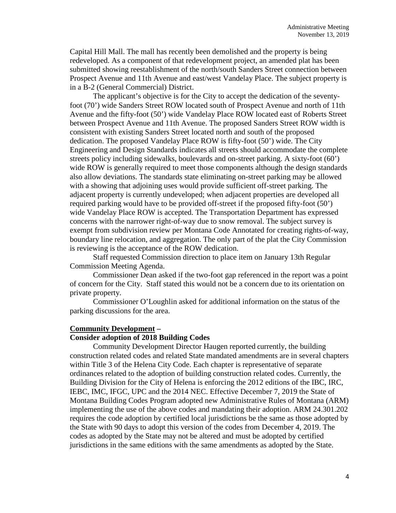Capital Hill Mall. The mall has recently been demolished and the property is being redeveloped. As a component of that redevelopment project, an amended plat has been submitted showing reestablishment of the north/south Sanders Street connection between Prospect Avenue and 11th Avenue and east/west Vandelay Place. The subject property is in a B-2 (General Commercial) District.

The applicant's objective is for the City to accept the dedication of the seventyfoot (70') wide Sanders Street ROW located south of Prospect Avenue and north of 11th Avenue and the fifty-foot (50') wide Vandelay Place ROW located east of Roberts Street between Prospect Avenue and 11th Avenue. The proposed Sanders Street ROW width is consistent with existing Sanders Street located north and south of the proposed dedication. The proposed Vandelay Place ROW is fifty-foot (50') wide. The City Engineering and Design Standards indicates all streets should accommodate the complete streets policy including sidewalks, boulevards and on-street parking. A sixty-foot (60') wide ROW is generally required to meet those components although the design standards also allow deviations. The standards state eliminating on-street parking may be allowed with a showing that adjoining uses would provide sufficient off-street parking. The adjacent property is currently undeveloped; when adjacent properties are developed all required parking would have to be provided off-street if the proposed fifty-foot (50') wide Vandelay Place ROW is accepted. The Transportation Department has expressed concerns with the narrower right-of-way due to snow removal. The subject survey is exempt from subdivision review per Montana Code Annotated for creating rights-of-way, boundary line relocation, and aggregation. The only part of the plat the City Commission is reviewing is the acceptance of the ROW dedication.

Staff requested Commission direction to place item on January 13th Regular Commission Meeting Agenda.

Commissioner Dean asked if the two-foot gap referenced in the report was a point of concern for the City. Staff stated this would not be a concern due to its orientation on private property.

Commissioner O'Loughlin asked for additional information on the status of the parking discussions for the area.

## **Community Development –**

#### **Consider adoption of 2018 Building Codes**

Community Development Director Haugen reported currently, the building construction related codes and related State mandated amendments are in several chapters within Title 3 of the Helena City Code. Each chapter is representative of separate ordinances related to the adoption of building construction related codes. Currently, the Building Division for the City of Helena is enforcing the 2012 editions of the IBC, IRC, IEBC, IMC, IFGC, UPC and the 2014 NEC. Effective December 7, 2019 the State of Montana Building Codes Program adopted new Administrative Rules of Montana (ARM) implementing the use of the above codes and mandating their adoption. ARM 24.301.202 requires the code adoption by certified local jurisdictions be the same as those adopted by the State with 90 days to adopt this version of the codes from December 4, 2019. The codes as adopted by the State may not be altered and must be adopted by certified jurisdictions in the same editions with the same amendments as adopted by the State.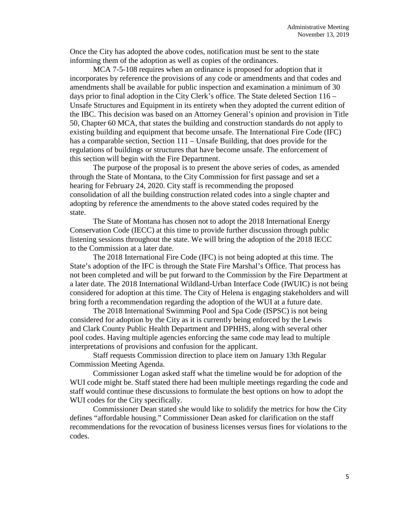Once the City has adopted the above codes, notification must be sent to the state informing them of the adoption as well as copies of the ordinances.

MCA 7-5-108 requires when an ordinance is proposed for adoption that it incorporates by reference the provisions of any code or amendments and that codes and amendments shall be available for public inspection and examination a minimum of 30 days prior to final adoption in the City Clerk's office. The State deleted Section 116 – Unsafe Structures and Equipment in its entirety when they adopted the current edition of the IBC. This decision was based on an Attorney General's opinion and provision in Title 50, Chapter 60 MCA, that states the building and construction standards do not apply to existing building and equipment that become unsafe. The International Fire Code (IFC) has a comparable section, Section 111 – Unsafe Building, that does provide for the regulations of buildings or structures that have become unsafe. The enforcement of this section will begin with the Fire Department.

The purpose of the proposal is to present the above series of codes, as amended through the State of Montana, to the City Commission for first passage and set a hearing for February 24, 2020. City staff is recommending the proposed consolidation of all the building construction related codes into a single chapter and adopting by reference the amendments to the above stated codes required by the state.

The State of Montana has chosen not to adopt the 2018 International Energy Conservation Code (IECC) at this time to provide further discussion through public listening sessions throughout the state. We will bring the adoption of the 2018 IECC to the Commission at a later date.

The 2018 International Fire Code (IFC) is not being adopted at this time. The State's adoption of the IFC is through the State Fire Marshal's Office. That process has not been completed and will be put forward to the Commission by the Fire Department at a later date. The 2018 International Wildland-Urban Interface Code (IWUIC) is not being considered for adoption at this time. The City of Helena is engaging stakeholders and will bring forth a recommendation regarding the adoption of the WUI at a future date.

The 2018 International Swimming Pool and Spa Code (ISPSC) is not being considered for adoption by the City as it is currently being enforced by the Lewis and Clark County Public Health Department and DPHHS, along with several other pool codes. Having multiple agencies enforcing the same code may lead to multiple interpretations of provisions and confusion for the applicant.

Staff requests Commission direction to place item on January 13th Regular Commission Meeting Agenda.

Commissioner Logan asked staff what the timeline would be for adoption of the WUI code might be. Staff stated there had been multiple meetings regarding the code and staff would continue these discussions to formulate the best options on how to adopt the WUI codes for the City specifically.

Commissioner Dean stated she would like to solidify the metrics for how the City defines "affordable housing." Commissioner Dean asked for clarification on the staff recommendations for the revocation of business licenses versus fines for violations to the codes.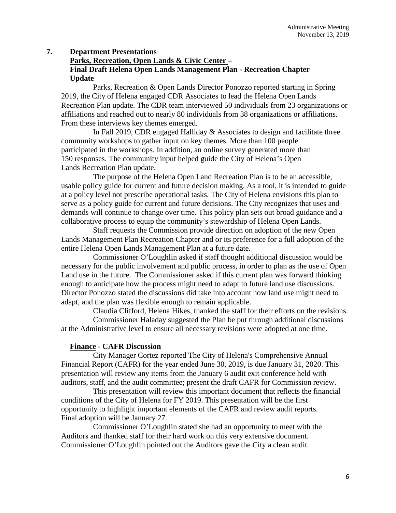# **7. Department Presentations**

# **Parks, Recreation, Open Lands & Civic Center – Final Draft Helena Open Lands Management Plan - Recreation Chapter Update**

Parks, Recreation & Open Lands Director Ponozzo reported starting in Spring 2019, the City of Helena engaged CDR Associates to lead the Helena Open Lands Recreation Plan update. The CDR team interviewed 50 individuals from 23 organizations or affiliations and reached out to nearly 80 individuals from 38 organizations or affiliations. From these interviews key themes emerged.

In Fall 2019, CDR engaged Halliday & Associates to design and facilitate three community workshops to gather input on key themes. More than 100 people participated in the workshops. In addition, an online survey generated more than 150 responses. The community input helped guide the City of Helena's Open Lands Recreation Plan update.

The purpose of the Helena Open Land Recreation Plan is to be an accessible, usable policy guide for current and future decision making. As a tool, it is intended to guide at a policy level not prescribe operational tasks. The City of Helena envisions this plan to serve as a policy guide for current and future decisions. The City recognizes that uses and demands will continue to change over time. This policy plan sets out broad guidance and a collaborative process to equip the community's stewardship of Helena Open Lands.

Staff requests the Commission provide direction on adoption of the new Open Lands Management Plan Recreation Chapter and or its preference for a full adoption of the entire Helena Open Lands Management Plan at a future date.

Commissioner O'Loughlin asked if staff thought additional discussion would be necessary for the public involvement and public process, in order to plan as the use of Open Land use in the future. The Commissioner asked if this current plan was forward thinking enough to anticipate how the process might need to adapt to future land use discussions. Director Ponozzo stated the discussions did take into account how land use might need to adapt, and the plan was flexible enough to remain applicable.

Claudia Clifford, Helena Hikes, thanked the staff for their efforts on the revisions. Commissioner Haladay suggested the Plan be put through additional discussions at the Administrative level to ensure all necessary revisions were adopted at one time.

# **Finance** - **CAFR Discussion**

City Manager Cortez reported The City of Helena's Comprehensive Annual Financial Report (CAFR) for the year ended June 30, 2019, is due January 31, 2020. This presentation will review any items from the January 6 audit exit conference held with auditors, staff, and the audit committee; present the draft CAFR for Commission review.

This presentation will review this important document that reflects the financial conditions of the City of Helena for FY 2019. This presentation will be the first opportunity to highlight important elements of the CAFR and review audit reports. Final adoption will be January 27.

Commissioner O'Loughlin stated she had an opportunity to meet with the Auditors and thanked staff for their hard work on this very extensive document. Commissioner O'Loughlin pointed out the Auditors gave the City a clean audit.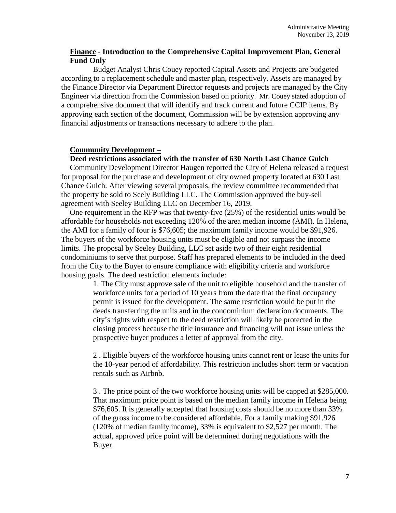# **Finance** - **Introduction to the Comprehensive Capital Improvement Plan, General Fund Only**

Budget Analyst Chris Couey reported Capital Assets and Projects are budgeted according to a replacement schedule and master plan, respectively. Assets are managed by the Finance Director via Department Director requests and projects are managed by the City Engineer via direction from the Commission based on priority. Mr. Couey stated adoption of a comprehensive document that will identify and track current and future CCIP items. By approving each section of the document, Commission will be by extension approving any financial adjustments or transactions necessary to adhere to the plan.

## **Community Development –**

## **Deed restrictions associated with the transfer of 630 North Last Chance Gulch**

Community Development Director Haugen reported the City of Helena released a request for proposal for the purchase and development of city owned property located at 630 Last Chance Gulch. After viewing several proposals, the review committee recommended that the property be sold to Seely Building LLC. The Commission approved the buy-sell agreement with Seeley Building LLC on December 16, 2019.

One requirement in the RFP was that twenty-five (25%) of the residential units would be affordable for households not exceeding 120% of the area median income (AMI). In Helena, the AMI for a family of four is \$76,605; the maximum family income would be \$91,926. The buyers of the workforce housing units must be eligible and not surpass the income limits. The proposal by Seeley Building, LLC set aside two of their eight residential condominiums to serve that purpose. Staff has prepared elements to be included in the deed from the City to the Buyer to ensure compliance with eligibility criteria and workforce housing goals. The deed restriction elements include:

> 1. The City must approve sale of the unit to eligible household and the transfer of workforce units for a period of 10 years from the date that the final occupancy permit is issued for the development. The same restriction would be put in the deeds transferring the units and in the condominium declaration documents. The city's rights with respect to the deed restriction will likely be protected in the closing process because the title insurance and financing will not issue unless the prospective buyer produces a letter of approval from the city.

> 2 . Eligible buyers of the workforce housing units cannot rent or lease the units for the 10-year period of affordability. This restriction includes short term or vacation rentals such as Airbnb.

> 3 . The price point of the two workforce housing units will be capped at \$285,000. That maximum price point is based on the median family income in Helena being \$76,605. It is generally accepted that housing costs should be no more than 33% of the gross income to be considered affordable. For a family making \$91,926 (120% of median family income), 33% is equivalent to \$2,527 per month. The actual, approved price point will be determined during negotiations with the Buyer.